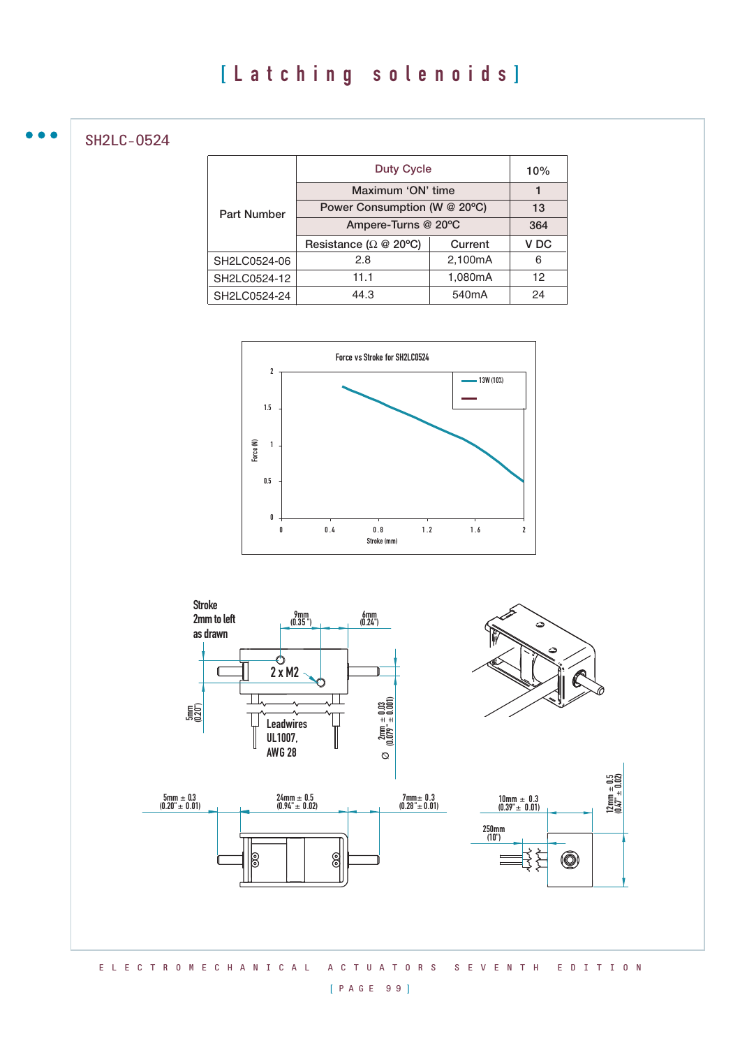SH2LC-0524

|                    | <b>Duty Cycle</b>                           |                    | 10%             |
|--------------------|---------------------------------------------|--------------------|-----------------|
|                    | Maximum 'ON' time                           |                    |                 |
| <b>Part Number</b> | Power Consumption (W @ 20°C)                |                    | 13              |
|                    | Ampere-Turns @ 20°C                         |                    | 364             |
|                    | Resistance ( $\Omega \otimes 20^{\circ}$ C) | Current            | V <sub>DC</sub> |
| SH2LC0524-06       | 2.8                                         | 2,100mA            | 6               |
| SH2LC0524-12       | 1,080mA<br>11.1                             |                    | 12              |
| SH2LC0524-24       | 44.3                                        | 540 <sub>m</sub> A | 24              |





#### [ P A G E 9 9 ]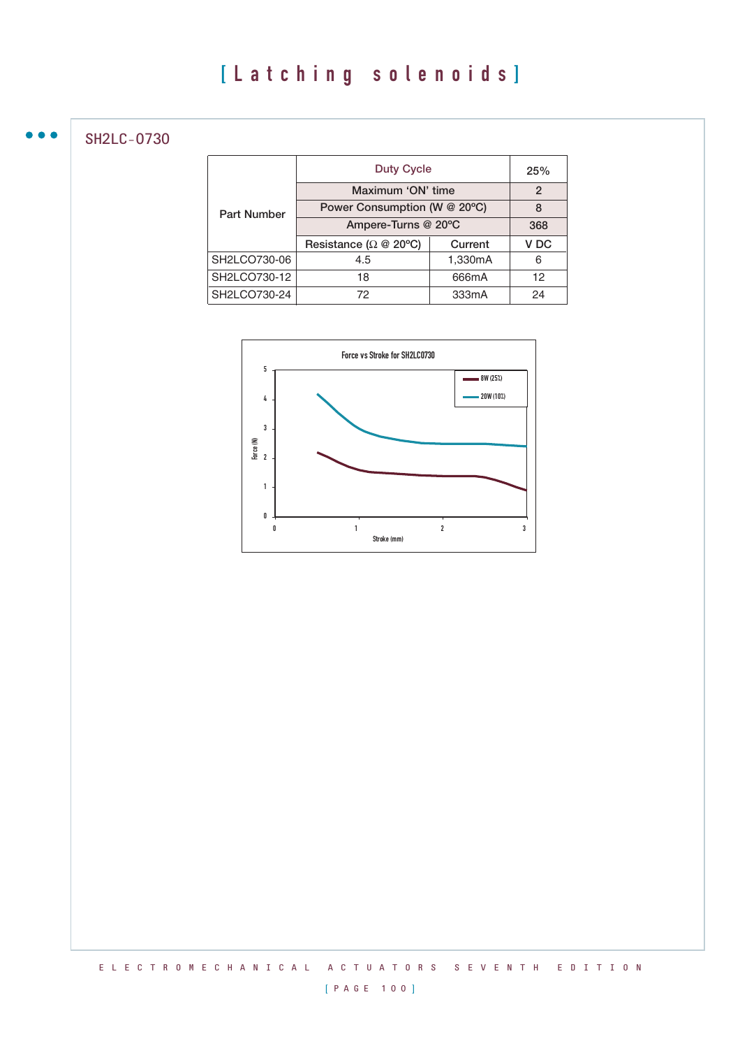SH2LC-0730

 $\bullet$ 

|                    | <b>Duty Cycle</b>                           |         | 25%             |
|--------------------|---------------------------------------------|---------|-----------------|
|                    | Maximum 'ON' time                           |         | $\mathfrak{p}$  |
| <b>Part Number</b> | Power Consumption (W @ 20°C)                |         | 8               |
|                    | Ampere-Turns @ 20°C                         |         | 368             |
|                    | Resistance ( $\Omega \otimes 20^{\circ}$ C) | Current | V <sub>DC</sub> |
| SH2LCO730-06       | 4.5                                         | 1,330mA | 6               |
| SH2LCO730-12       | 18                                          | 666mA   | 12              |
| SH2LCO730-24       | 72                                          | 333mA   | 24              |

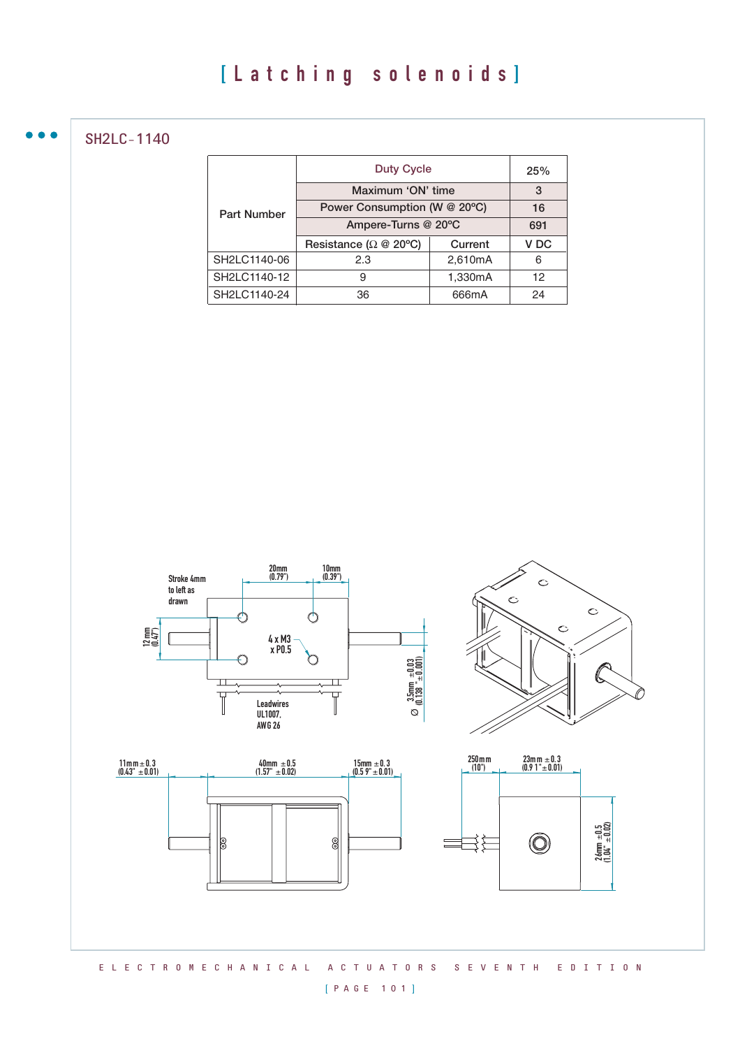SH2LC-1140

|                    | <b>Duty Cycle</b>                           |         | 25%             |
|--------------------|---------------------------------------------|---------|-----------------|
|                    | Maximum 'ON' time                           |         | 3               |
| <b>Part Number</b> | Power Consumption (W @ 20°C)                |         | 16              |
|                    | Ampere-Turns @ 20°C                         |         | 691             |
|                    | Resistance ( $\Omega \otimes 20^{\circ}$ C) | Current | V <sub>DC</sub> |
| SH2LC1140-06       | 2.3                                         | 2,610mA | 6               |
| SH2LC1140-12       | 9                                           | 1,330mA | 12              |
| SH2LC1140-24       | 36                                          | 666mA   | 24              |



#### [ P A G E 1 0 1 ]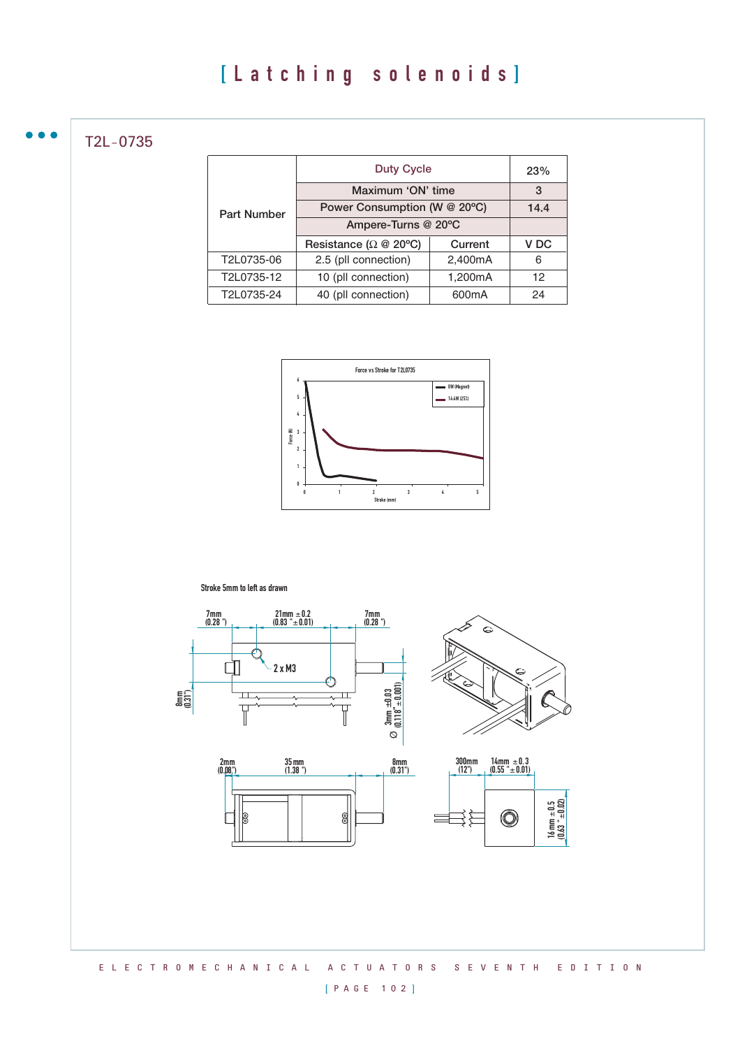T2L-0735

 $\bullet$   $\bullet$ 

|                    | <b>Duty Cycle</b>                           |                    | 23%             |
|--------------------|---------------------------------------------|--------------------|-----------------|
|                    | Maximum 'ON' time                           |                    | 3               |
| <b>Part Number</b> | Power Consumption (W @ 20°C)                |                    | 14.4            |
|                    | Ampere-Turns @ 20°C                         |                    |                 |
|                    | Resistance ( $\Omega \otimes 20^{\circ}$ C) | Current            | V <sub>DC</sub> |
| T2L0735-06         | 2.5 (pll connection)                        | 2,400mA            | 6               |
| T2L0735-12         | 10 (pll connection)                         | 1,200mA            | 12              |
| T2L0735-24         | 40 (pll connection)                         | 600 <sub>m</sub> A | 24              |



Stroke 5mm to left as drawn



# [ P A G E 1 0 2 ]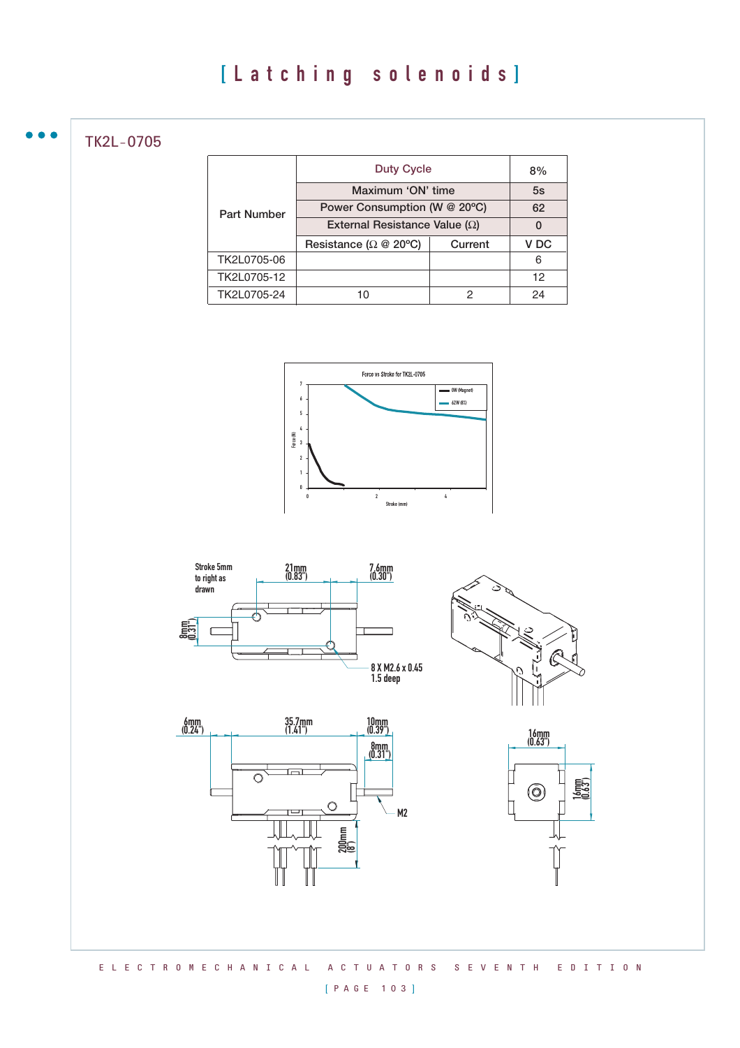TK2L-0705

|                    | <b>Duty Cycle</b>                           |         | 8%   |
|--------------------|---------------------------------------------|---------|------|
|                    | Maximum 'ON' time                           |         | 5s   |
| <b>Part Number</b> | Power Consumption (W @ 20°C)                |         | 62   |
|                    | External Resistance Value ( $\Omega$ )      |         | 0    |
|                    | Resistance ( $\Omega \otimes 20^{\circ}$ C) | Current | V DC |
| TK2L0705-06        |                                             |         | 6    |
| TK2L0705-12        |                                             |         | 12   |
| TK2L0705-24        |                                             | 2       | 24   |











## [ P A G E 1 0 3 ]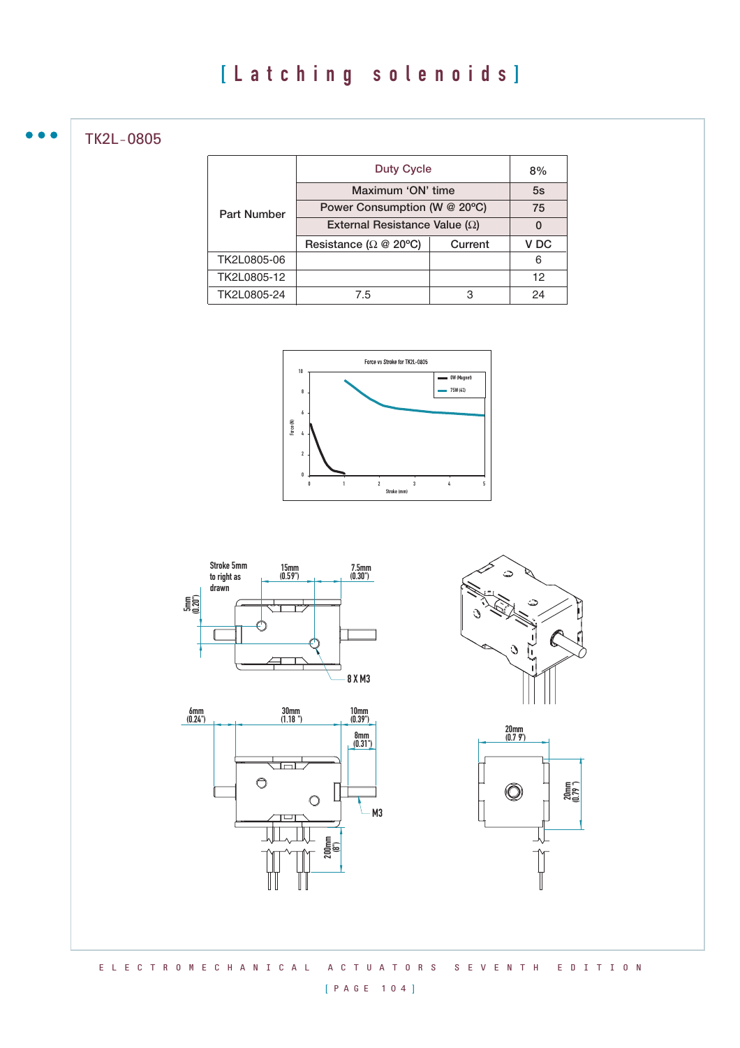TK2L-0805

|                    | <b>Duty Cycle</b>                           |         | 8%              |
|--------------------|---------------------------------------------|---------|-----------------|
|                    | Maximum 'ON' time                           |         | 5s              |
| <b>Part Number</b> | Power Consumption (W @ 20°C)                |         | 75              |
|                    | External Resistance Value ( $\Omega$ )      |         | O               |
|                    | Resistance ( $\Omega \otimes 20^{\circ}$ C) | Current | V <sub>DC</sub> |
| TK2L0805-06        |                                             |         | 6               |
| TK2L0805-12        |                                             |         | 12              |
| TK2L0805-24        | 7.5                                         | З       | 24              |











E L E C T R O M E C H A N I C A L A C T U A T O R S S E V E N T H E D I T I O N

## [ P A G E 1 0 4 ]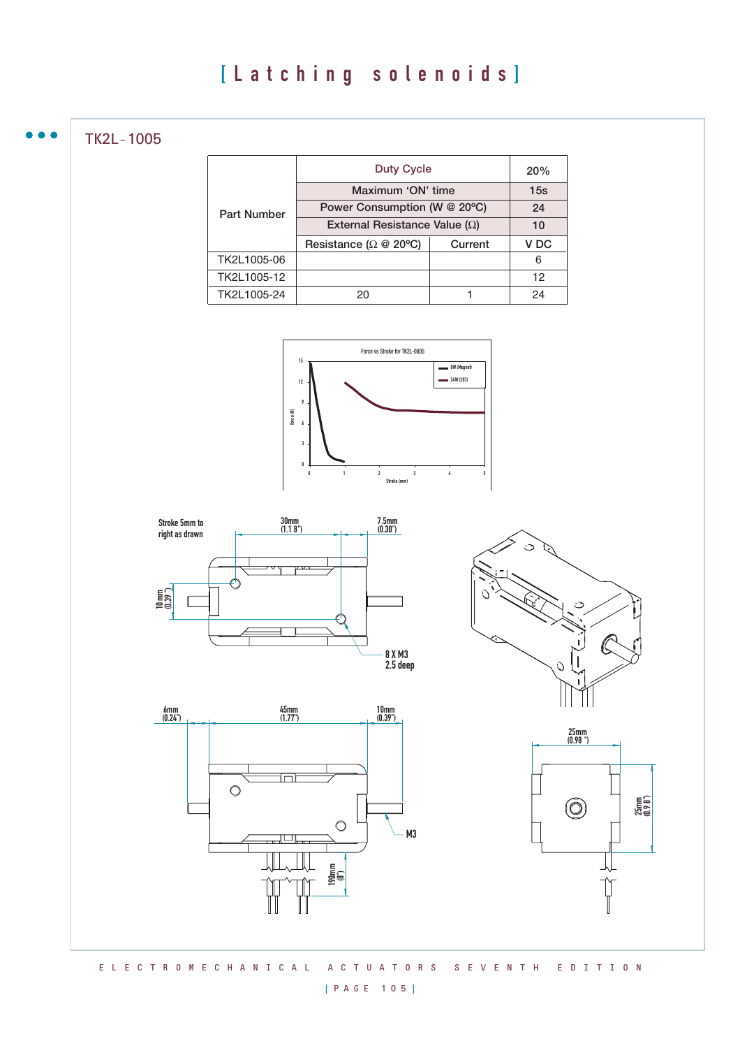TK2L-1005

|                    | <b>Duty Cycle</b>                           |         | 20%  |
|--------------------|---------------------------------------------|---------|------|
|                    | Maximum 'ON' time                           |         | 15s  |
| <b>Part Number</b> | Power Consumption (W @ 20°C)                |         | 24   |
|                    | External Resistance Value ( $\Omega$ )      |         | 10   |
|                    | Resistance ( $\Omega \otimes 20^{\circ}$ C) | Current | V DC |
| TK2L1005-06        |                                             |         | 6    |
| TK2L1005-12        |                                             |         | 12   |
| TK2L1005-24        | 20                                          |         | 24   |











#### [ P A G E 1 0 5 ]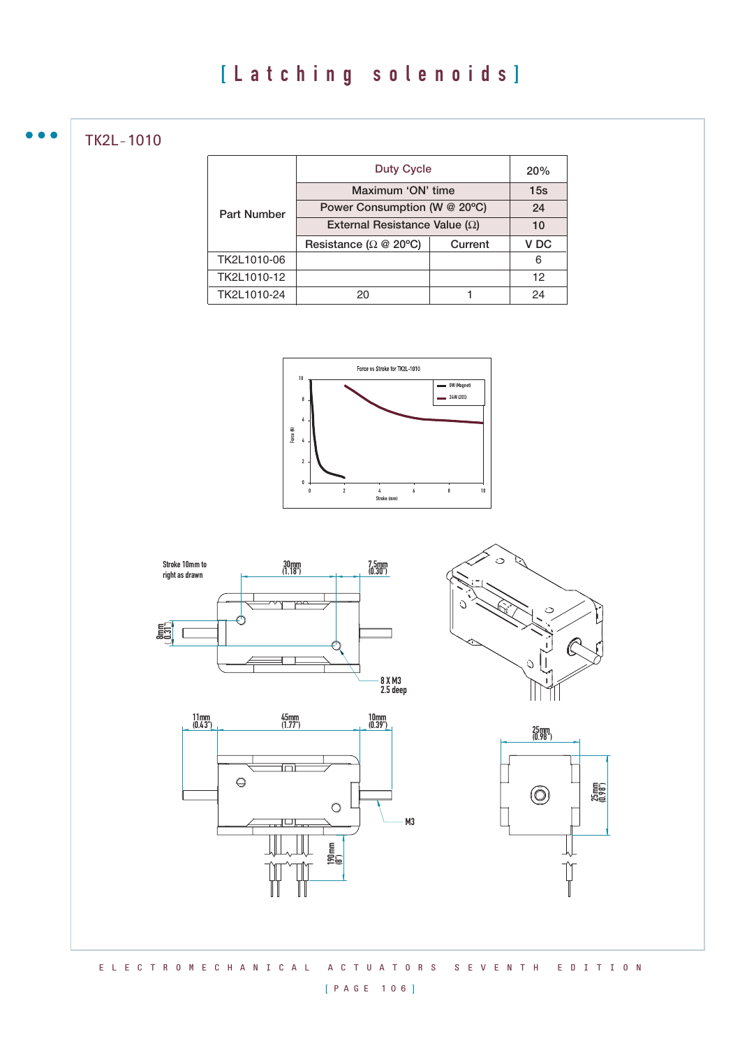TK2L-1010

|                    | <b>Duty Cycle</b>                           |         | 20%             |
|--------------------|---------------------------------------------|---------|-----------------|
|                    | Maximum 'ON' time                           |         | 15s             |
| <b>Part Number</b> | Power Consumption (W @ 20°C)                |         | 24              |
|                    | External Resistance Value ( $\Omega$ )      |         | 10              |
|                    | Resistance ( $\Omega \otimes 20^{\circ}$ C) | Current | V <sub>DC</sub> |
| TK2L1010-06        |                                             |         | 6               |
| TK2L1010-12        |                                             |         | 12              |
| TK2L1010-24        | 20                                          |         | 24              |











E L E C T R O M E C H A N I C A L A C T U A T O R S S E V E N T H E D I T I O N

## [ P A G E 1 0 6 ]